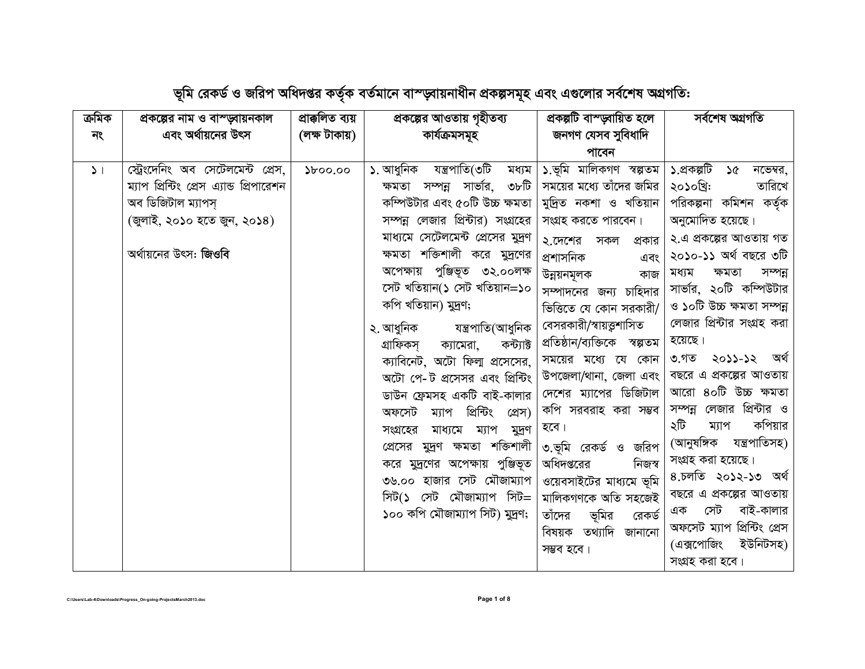| ক্ৰমিক        | প্রকল্পের নাম ও বাস্ড়্বায়নকাল          | প্ৰাক্কলিত ব্যয় | প্রকল্পের আওতায় গৃহীতব্য              | প্ৰকল্পটি বাস্ড্বায়িত হলে    | সৰ্বশেষ অগ্ৰগতি               |
|---------------|------------------------------------------|------------------|----------------------------------------|-------------------------------|-------------------------------|
| নং            | এবং অর্থায়নের উৎস                       | (লক্ষ টাকায়)    | কাৰ্যক্ৰমসমূহ                          | জনগণ যেসব সুবিধাদি            |                               |
|               |                                          |                  |                                        | পাবেন                         |                               |
| $\mathcal{L}$ | স্ট্রেংদেনিং অব সেটেলমেন্ট প্রেস,        | $\delta$ 00.00   | ১. আধুনিক যন্ত্ৰপাতি(৩টি<br>মধ্যম      | ১.ভূমি মালিকগণ স্বল্পতম       | ১.প্ৰকল্পটি<br>১৫<br>নভেম্বর, |
|               | ম্যাপ প্রিন্টিং প্রেস এ্যান্ড প্রিপারেশন |                  | ক্ষমতা সম্পন্ন সার্ভার, ৩৮টি           | সময়ের মধ্যে তাঁদের জমির      | তারিখে<br>২০১০খ্রি:           |
|               | অব ডিজিটাল ম্যাপস্                       |                  | কম্পিউটার এবং ৫০টি উচ্চ ক্ষমতা         | মুদ্রিত নকশা ও খতিয়ান        | পরিকল্পনা কমিশন কর্তৃক        |
|               | (জুলাই, ২০১০ হতে জুন, ২০১৪)              |                  | সম্পন্ন লেজার প্রিন্টার) সংগ্রহের      | সংগ্রহ করতে পারবেন।           | অনুমোদিত হয়েছে।              |
|               |                                          |                  | মাধ্যমে সেটেলমেন্ট প্রেসের মুদ্রণ      | ২.দেশের সকল<br>প্রকার         | ২.এ প্রকল্পের আওতায় গত       |
|               | অর্থায়নের উৎস: জিওবি                    |                  | ক্ষমতা শক্তিশালী করে মুদ্রণের          | প্ৰশাসনিক<br>এবং              | ২০১০-১১ অর্থ বছরে ৩টি         |
|               |                                          |                  | অপেক্ষায় পুঞ্জিভূত ৩২.০০লক্ষ          | উন্নয়নমূলক<br>কাজ            | ক্ষমতা<br>সম্পন্ন<br>মধ্যম    |
|               |                                          |                  | সেট খতিয়ান(১ সেট খতিয়ান=১০           | সম্পাদনের জন্য চাহিদার        | সার্ভার, ২০টি কম্পিউটার       |
|               |                                          |                  | কপি খতিয়ান) মুদ্রণ;                   | ভিত্তিতে যে কোন সরকারী/       | ও ১০টি উচ্চ ক্ষমতা সম্পন্ন    |
|               |                                          |                  | ২. আধুনিক<br>যন্ত্ৰপাতি(আধুনিক         | বেসরকারী/স্বায়ত্তুশাসিত      | লেজার প্রিন্টার সংগ্রহ করা    |
|               |                                          |                  | গ্ৰাফিকসূ<br>কন্ট্যাক্ট<br>ক্যামেরা,   | প্রতিষ্ঠান/ব্যক্তিকে স্বল্পতম | হয়েছে।                       |
|               |                                          |                  | ক্যাবিনেট, অটো ফিলা প্রসেসের,          | সময়ের মধ্যে যে কোন           | ৩.গত ২০১১-১২ অৰ্থ             |
|               |                                          |                  | অটো পে-ট প্রসেসর এবং প্রিন্টিং         | উপজেলা/থানা, জেলা এবং         | বছরে এ প্রকল্পের আওতায়       |
|               |                                          |                  | ডাউন ফ্রেমসহ একটি বাই-কালার            | দেশের ম্যাপের ডিজিটাল         | আরো ৪০টি উচ্চ ক্ষমতা          |
|               |                                          |                  | প্ৰিন্টিং<br>অফসেট ম্যাপ<br>প্ৰেস)     | কপি সরবরাহ করা সম্ভব          | সম্পন্ন লেজার প্রিন্টার ও     |
|               |                                          |                  | ম্যাপ<br>সংগ্রহের<br>মাধ্যমে<br>মুদ্রণ | হবে।                          | ২টি<br>কপিয়ার<br>ম্যাপ       |
|               |                                          |                  | প্রেসের মুদ্রণ ক্ষমতা শক্তিশালী        | ৩.ভূমি রেকর্ড ও জরিপ          | (আনুষঙ্গিক যন্ত্রপাতিসহ)      |
|               |                                          |                  | করে মুদ্রণের অপেক্ষায় পুঞ্জিভূত       | অধিদপ্তরের<br>নিজস্ব          | সংগ্ৰহ করা হয়েছে।            |
|               |                                          |                  | ৩৬.০০ হাজার সেট মৌজাম্যাপ              | ওয়েবসাইটের মাধ্যমে ভূমি      | ৪.চলতি ২০১২-১৩ অৰ্থ           |
|               |                                          |                  | সিট(১ সেট মৌজাম্যাপ সিট=               | মালিকগণকে অতি সহজেই           | বছরে এ প্রকল্পের আওতায়       |
|               |                                          |                  | ১০০ কপি মৌজাম্যাপ সিট) মুদ্রণ;         | ভূমির<br>তাঁদের<br>রেকর্ড     | সেট বাই-কালার<br>এক           |
|               |                                          |                  |                                        | বিষয়ক তথ্যাদি জানানো         | অফসেট ম্যাপ প্রিন্টিং প্রেস   |
|               |                                          |                  |                                        | সম্ভব হবে।                    | (এক্সপোজিং ইউনিটসহ)           |
|               |                                          |                  |                                        |                               | সংগ্ৰহ করা হবে।               |

ভূমি রেকর্ড ও জরিপ অধিদপ্তর কর্তৃক বর্তমানে বাস্ড্বায়নাধীন প্রকল্পসমূহ এবং এগুলোর সর্বশেষ অগ্রগতি: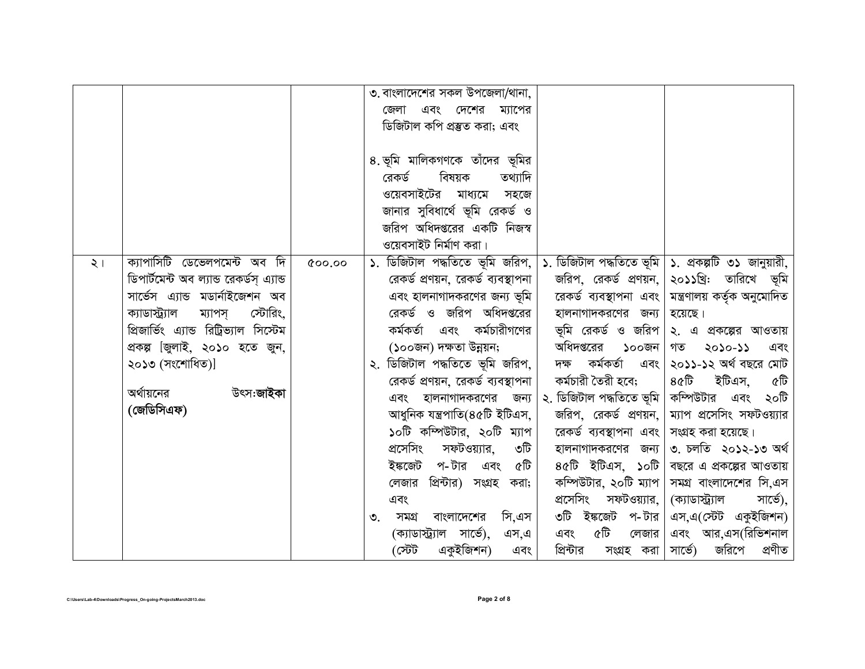|          |                                                                                                                                                                                                                                                                                              |       | ৩. বাংলাদেশের সকল উপজেলা/থানা,<br>এবং দেশের ম্যাপের<br>জেলা<br>ডিজিটাল কপি প্রস্তুত করা; এবং<br>৪. ভূমি মালিকগণকে তাঁদের ভূমির<br>বিষয়ক<br>তথ্যাদি<br>রেকর্ড<br>ওয়েবসাইটের মাধ্যমে<br>সহজে<br>জানার সুবিধার্থে ভূমি রেকর্ড ও<br>জরিপ অধিদপ্তরের একটি নিজস্ব<br>ওয়েবসাইট নিৰ্মাণ করা।                                                                                                                                                                                                                                                                                                                                                                                                                                                                                                                                                                                                                                                                                                                                                                                                                                                                                                                                                                                                                                                                                                                                                                                                                           |
|----------|----------------------------------------------------------------------------------------------------------------------------------------------------------------------------------------------------------------------------------------------------------------------------------------------|-------|-------------------------------------------------------------------------------------------------------------------------------------------------------------------------------------------------------------------------------------------------------------------------------------------------------------------------------------------------------------------------------------------------------------------------------------------------------------------------------------------------------------------------------------------------------------------------------------------------------------------------------------------------------------------------------------------------------------------------------------------------------------------------------------------------------------------------------------------------------------------------------------------------------------------------------------------------------------------------------------------------------------------------------------------------------------------------------------------------------------------------------------------------------------------------------------------------------------------------------------------------------------------------------------------------------------------------------------------------------------------------------------------------------------------------------------------------------------------------------------------------------------------|
| $\geq 1$ | ক্যাপাসিটি ডেভেলপমেন্ট অব দি<br>ডিপাৰ্টমেন্ট অব ল্যান্ড রেকৰ্ডস্ এ্যান্ড<br>সার্ভেস এ্যান্ড মডার্নাইজেশন অব<br>স্টোরিং,<br>ক্যাডাস্ট্র্যাল<br>ম্যাপস্<br>প্রিজার্ভিং এ্যান্ড রিট্রিভ্যাল সিস্টেম<br>প্রকল্প জিলাই, ২০১০ হতে জুন,<br>২০১৩ (সংশোধিত)]<br>অর্থায়নের<br>উৎস:জাইকা<br>(জেডিসিএফ) | 00.00 | ডিজিটাল পদ্ধতিতে ভূমি জরিপ,<br>১. ডিজিটাল পদ্ধতিতে ভূমি   ১. প্রকল্পটি ৩১ জানুয়ারী,<br>$\mathcal{L}$ .<br>২০১১খ্রি: তারিখে ভূমি<br>রেকর্ড প্রণয়ন, রেকর্ড ব্যবস্থাপনা<br>জরিপ, রেকর্ড প্রণয়ন,  <br>এবং হালনাগাদকরণের জন্য ভূমি<br>মন্ত্রণালয় কর্তৃক অনুমোদিত<br>রেকর্ড ব্যবস্থাপনা এবং।<br>রেকর্ড ও জরিপ অধিদপ্তরের<br>হালনাগাদকরণের জন্য<br>হয়েছে।<br>কর্মকর্তা এবং কর্মচারীগণের<br>ভূমি রেকর্ড ও জরিপ \ ২. এ প্রকল্পের আওতায়<br>অধিদপ্তরের ১০০জন<br>(১০০জন) দক্ষতা উন্নয়ন;<br>গত<br>২০১০-১১<br>এবং<br>ডিজিটাল পদ্ধতিতে ভূমি জরিপ,<br>দক্ষ কৰ্মকৰ্তা এবং<br>২০১১-১২ অর্থ বছরে মোট<br>২.<br>কৰ্মচারী তৈরী হবে;<br>৪৫টি ইটিএস,<br>রেকর্ড প্রণয়ন, রেকর্ড ব্যবস্থাপনা<br>৫টি<br>২. ডিজিটাল পদ্ধতিতে ভূমি   কম্পিউটার এবং ২০টি<br>এবং হালনাগাদকরণের<br>জন্য<br>আধুনিক যন্ত্ৰপাতি(৪৫টি ইটিএস,<br>ম্যাপ প্রসেসিং সফটওয়্যার<br>জরিপ, রেকর্ড প্রণয়ন,  <br>১০টি কম্পিউটার, ২০টি ম্যাপ<br>রেকর্ড ব্যবস্থাপনা এবং।<br>সংগ্ৰহ করা হয়েছে।<br>প্ৰসেসিং<br>৩. চলতি ২০১২-১৩ অৰ্থ<br>সফটওয়্যার,<br>৩টি<br>হালনাগাদকরণের জন্য<br>ইঙ্কজেট প-টার এবং ৫টি<br>8৫টি ইটিএস, ১০টি  <br>বছরে এ প্রকল্পের আওতায়<br>প্রিন্টার) সংগ্রহ করা;<br>কম্পিউটার, ২০টি ম্যাপ $ $<br>সমগ্র বাংলাদেশের সি,এস<br>লেজার<br>প্ৰসেসিং<br>সফটওয়্যার,  <br>(ক্যাডাস্ট্র্যাল<br>সার্ভে),<br>এবং<br>৩টি ইঙ্কজেট প-টার <br>এস,এ(স্টেট একুইজিশন)<br>সি,এস<br>সমগ্র বাংলাদেশের<br>৩.<br>৫টি<br>এবং আর,এস(রিভিশনাল<br>(ক্যাডাস্ট্র্যাল সার্ভে), এস,এ<br>এবং<br>লেজার<br>ৰ্টেচ)<br>একুইজিশন)<br>প্রিন্টার<br>সার্ভে) জরিপে প্রণীত<br>সংগ্ৰহ করা  <br>এবং |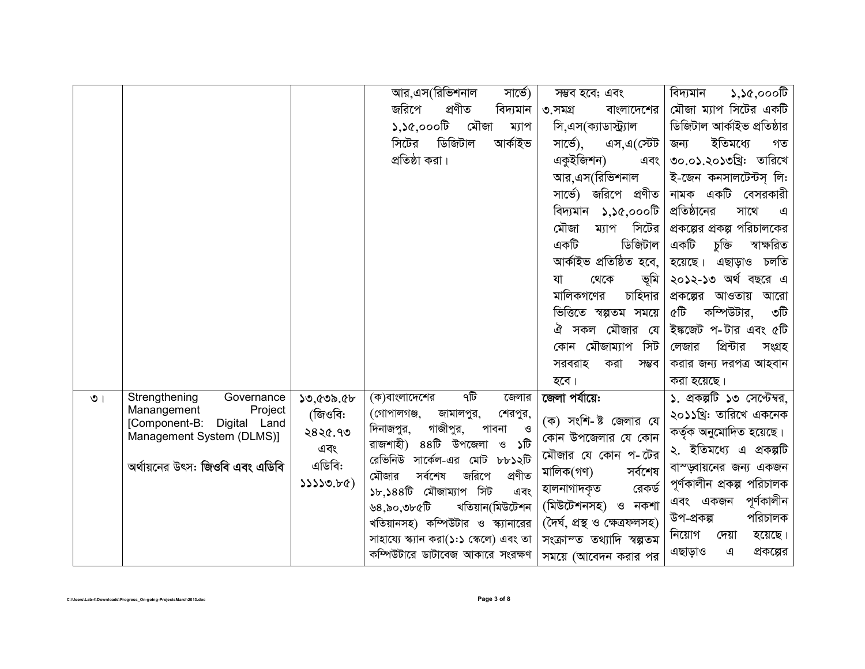|         |                                                       |           | আর,এস(রিভিশনাল                                                           | সাৰ্ভে)             | সম্ভব হবে; এবং                                           | $\mathcal{S}, \mathcal{S}, \mathcal{S}, \mathcal{S}$ েটি<br>বিদ্যমান |
|---------|-------------------------------------------------------|-----------|--------------------------------------------------------------------------|---------------------|----------------------------------------------------------|----------------------------------------------------------------------|
|         |                                                       |           | জরিপে<br>প্ৰণীত                                                          | বিদ্যমান            | ৩.সমগ্ৰ<br>বাংলাদেশের                                    | মৌজা ম্যাপ সিটের একটি                                                |
|         |                                                       |           | $\Omega, 2\mathfrak{C}, \mathfrak{c}$ , $\mathfrak{C}$<br>মৌজা           | ম্যাপ               | সি.এস(ক্যাডাস্ট্র্যাল                                    | ডিজিটাল আৰ্কাইভ প্ৰতিষ্ঠার                                           |
|         |                                                       |           | ডিজিটাল<br>সিটের                                                         | আৰ্কাইভ             | সার্ভে),<br>এস,এ(স্টেট                                   | ইতিমধ্যে<br>জন্য<br>গত                                               |
|         |                                                       |           | প্রতিষ্ঠা করা।                                                           |                     | একুইজিশন)<br>এবং                                         | ৩০.০১.২০১৩খ্রি: তারিখে                                               |
|         |                                                       |           |                                                                          |                     | আর,এস(রিভিশনাল                                           | ই-জেন কনসালটেন্টস লি:                                                |
|         |                                                       |           |                                                                          |                     | সার্ভে) জরিপে প্রণীত                                     | নামক একটি বেসরকারী                                                   |
|         |                                                       |           |                                                                          |                     | বিদ্যমান<br>$\mathcal{L}, \mathcal{L}, \mathcal{L}$ ত তি | প্রতিষ্ঠানের<br>সাথে<br>এ                                            |
|         |                                                       |           |                                                                          |                     | সিটের<br>মৌজা<br>ম্যাপ                                   | প্রকল্পের প্রকল্প পরিচালকের                                          |
|         |                                                       |           |                                                                          |                     | ডিজিটাল<br>একটি                                          | একটি<br>ক্তীবু<br>স্বাক্ষরিত                                         |
|         |                                                       |           |                                                                          |                     | আৰ্কাইভ প্ৰতিষ্ঠিত হবে,                                  | চলতি<br>এছাড়াও<br>হয়েছে।                                           |
|         |                                                       |           |                                                                          |                     | ভূমি<br>থেকে<br>যা                                       | ২০১২-১৩ অর্থ বছরে এ                                                  |
|         |                                                       |           |                                                                          |                     | চাহিদার<br>মালিকগণের                                     | আওতায়<br>আরো<br>প্রকল্পের                                           |
|         |                                                       |           |                                                                          |                     | ভিত্তিতে স্বল্পতম সময়ে                                  | ৫টি<br>কম্পিউটার,<br>৩টি                                             |
|         |                                                       |           |                                                                          |                     | মৌজার যে<br>ঐ<br>সকল                                     | ইঙ্কজেট প-টার এবং ৫টি                                                |
|         |                                                       |           |                                                                          |                     | সিট<br>মৌজাম্যাপ<br>কোন                                  | প্রিন্টার<br>লেজার<br>সংগ্ৰহ                                         |
|         |                                                       |           |                                                                          |                     | সরবরাহ<br>সম্ভব<br>করা                                   | করার জন্য দরপত্র আহবান                                               |
|         |                                                       |           |                                                                          |                     | হবে।                                                     | করা হয়েছে।                                                          |
| $\circ$ | Strengthening<br>Governance<br>Manangement<br>Project | ১৩,৫৩৯.৫৮ | ৭টি<br>(ক)বাংলাদেশের                                                     | জেলার               | জেলা পর্যায়ে:                                           | ১. প্রকল্পটি ১৩ সেপ্টেম্বর,                                          |
|         | Digital Land<br>[Component-B:                         | (জিওবি:   | (গোপালগঞ্জ,<br>জামালপুর,                                                 | শেরপুর,             | (ক) সংশি-ষ্ট জেলার যে                                    | ২০১১খ্রি: তারিখে একনেক                                               |
|         | Management System (DLMS)]                             | ২৪২৫.৭৩   | গাজীপুর,<br>দিনাজপুর,<br>পাবনা<br>$88\overline{b}$<br>রাজশাহী)<br>উপজেলা | ও<br>চীৱ<br>$\circ$ | কোন উপজেলার যে কোন                                       | কর্তৃক অনুমোদিত হয়েছে।                                              |
|         |                                                       | এবং       | রেভিনিউ<br>মেট<br>সার্কেল-এর                                             | ৮৮১২টি              | মৌজার যে কোন প-টের                                       | ২. ইতিমধ্যে এ প্ৰকল্পটি                                              |
|         | অর্থায়নের উৎস: জিওবি এবং এডিবি                       | এডিবি:    | জরিপে<br>সৰ্বশেষ<br>মৌজার                                                | প্ৰণীত              | সৰ্বশেষ<br>মালিক(গণ)                                     | বাস্ড়্বায়নের জন্য একজন                                             |
|         |                                                       | 33330.66  | মৌজাম্যাপ সিট<br>$\mathcal{F}, \mathcal{F}88\overline{\mathbb{G}}$       | এবং                 | রেকর্ড<br>হালনাগাদকৃত                                    | পূর্ণকালীন প্রকল্প পরিচালক                                           |
|         |                                                       |           | ৰ্ডঃ,১০,৩৮৫টি<br>খতিয়ান(মিউটেশন                                         |                     | (মিউটেশনসহ) ও নকশা                                       | পূৰ্ণকালীন<br>এবং একজন                                               |
|         |                                                       |           | খতিয়ানসহ) কম্পিউটার ও স্ক্যানারের                                       |                     | (দৈৰ্ঘ, প্ৰস্থ ও ক্ষেত্ৰফলসহ)                            | পরিচালক<br>উপ-প্ৰকল্প                                                |
|         |                                                       |           | সাহায্যে স্ক্যান করা(১:১ স্কেলে) এবং তা                                  |                     | সংক্রাম্ত তথ্যাদি স্বল্পতম                               | নিয়োগ<br>হয়েছে।<br>দেয়া                                           |
|         |                                                       |           | কম্পিউটারে ডাটাবেজ আকারে সংরক্ষণ                                         |                     | সময়ে (আবেদন করার পর                                     | এছাড়াও<br>প্রকল্পের<br>এ                                            |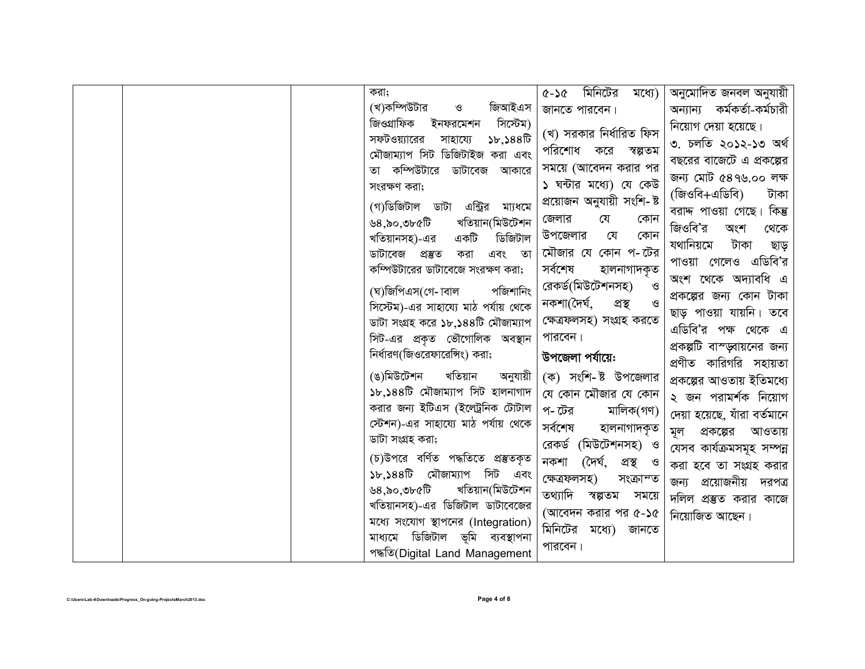|  | করা;                                                               | মিনিটের<br>মধ্যে)<br><b>ያረ-ን</b>       | অনুমোদিত জনবল অনুযায়ী       |
|--|--------------------------------------------------------------------|----------------------------------------|------------------------------|
|  | (খ)কম্পিউটার<br>জিআইএস<br>$\mathcal{O}$                            | জানতে পারবেন।                          | অন্যান্য কৰ্মকৰ্তা-কৰ্মচারী  |
|  | জিওগ্ৰাফিক<br>সিস্টেম)<br>ইনফরমেশন                                 |                                        | নিয়োগ দেয়া হয়েছে।         |
|  | $\mathcal{F}, \mathcal{S}88\mathbb{R}$<br>সফটওয়্যারের<br>সাহায্যে | (খ) সরকার নির্ধারিত ফিস                | ৩. চলতি ২০১২-১৩ অৰ্থ         |
|  | মৌজাম্যাপ সিট ডিজিটাইজ করা এবং                                     | পরিশোধ করে<br>স্বল্পতম                 | বছরের বাজেটে এ প্রকল্পের     |
|  | তা কম্পিউটারে ডাটাবেজ আকারে                                        | সময়ে (আবেদন করার পর                   | জন্য মোট ৫৪৭৬.০০ লক্ষ        |
|  | সংরক্ষণ করা;                                                       | ১ ঘন্টার মধ্যে) যে কেউ                 | (জিওবি+এডিবি)<br>টাকা        |
|  | (গ)ডিজিটাল ডাটা<br>এন্ট্রির<br>মা্যধমে                             | প্রয়োজন অনুযায়ী সংশি- ষ্ট            | বরাদ্দ পাওয়া গেছে। কিন্তু   |
|  | খতিয়ান(মিউটেশন<br>উ§,৯০,৩৮৫টি                                     | জেলার<br>যে<br>কোন                     | জিওবি'র<br>অংশ<br>থেকে       |
|  | একটি<br>ডিজিটাল<br>খতিয়ানসহ)-এর                                   | উপজেলার<br>যে<br>কোন                   | যথানিয়মে                    |
|  | ডাটাবেজ প্ৰস্তুত<br>করা<br>এবং তা                                  | মৌজার যে কোন প-টের                     | টাকা<br>ছাড়                 |
|  | কম্পিউটারের ডাটাবেজে সংরক্ষণ করা;                                  | সৰ্বশেষ<br>হালনাগাদকৃত                 | পাওয়া গেলেও এডিবি'র         |
|  | পজিশানিং<br>(ঘ)জিপিএস(গে- াবাল                                     | রেকর্ড(মিউটেশনসহ)<br>ও                 | অংশ থেকে অদ্যাবধি এ          |
|  | সিস্টেম)-এর সাহায্যে মাঠ পর্যায় থেকে                              | নকশা(দৈৰ্ঘ,<br>প্ৰস্থ<br>$\mathcal{B}$ | প্রকল্পের জন্য কোন টাকা      |
|  | ডাটা সংগ্ৰহ করে ১৮,১৪৪টি মৌজাম্যাপ                                 | ক্ষেত্ৰফলসহ) সংগ্ৰহ করতে               | ছাড় পাওয়া যায়নি। তবে      |
|  | সিট-এর প্রকৃত ভৌগোলিক অবস্থান                                      | পারবেন।                                | এডিবি'র পক্ষ থেকে এ          |
|  | নির্ধারণ(জিওরেফারেঙ্গিং) করা;                                      | উপজেলা পর্যায়ে:                       | প্রকল্পটি বাস্ড্সায়নের জন্য |
|  |                                                                    |                                        | প্রণীত কারিগরি সহায়তা       |
|  | (ঙ)মিউটেশন<br>খতিয়ান<br>অনুযায়ী                                  | (ক) সংশি-ষ্ট উপজেলার                   | প্রকল্পের আওতায় ইতিমধ্যে    |
|  | ১৮,১৪৪টি মৌজাম্যাপ সিট হালনাগাদ                                    | যে কোন মৌজার যে কোন                    | ২ জন পরামর্শক নিয়োগ         |
|  | করার জন্য ইটিএস (ইলেট্রনিক টোটাল                                   | প- টের<br>মালিক(গণ)                    | দেয়া হয়েছে, যাঁরা বর্তমানে |
|  | স্টেশন)-এর সাহায্যে মাঠ পর্যায় থেকে                               | সৰ্বশেষ<br>হালনাগাদকৃত                 | প্রকল্পের<br>আওতায়<br>মূল   |
|  | ডাটা সংগ্ৰহ করা;                                                   | রেকর্ড (মিউটেশনসহ) ও                   | যেসব কাৰ্যক্ৰমসমূহ সম্পন্ন   |
|  | (চ)উপরে বর্ণিত পদ্ধতিতে প্রস্তুতকৃত                                | (দৈৰ্ঘ, প্ৰস্থ ও<br>নকশা               | করা হবে তা সংগ্রহ করার       |
|  | ১৮,১৪৪টি মৌজাম্যাপ সিট এবং                                         | ক্ষেত্ৰফলসহ)<br>সংক্ৰাম্ত              | প্রয়োজনীয় দরপত্র<br>জন্য   |
|  | ৰ্ডী১খ৩,০৯,৪৶<br>খতিয়ান(মিউটেশন                                   | তথ্যাদি<br>স্বল্পতম<br>সময়ে           | দলিল প্রস্তুত করার কাজে      |
|  | খতিয়ানসহ)-এর ডিজিটাল ডাটাবেজের                                    | (আবেদন করার পর ৫-১৫                    | নিয়োজিত আছেন।               |
|  | মধ্যে সংযোগ স্থাপনের (Integration)                                 | মিনিটের মধ্যে) জানতে                   |                              |
|  | মাধ্যমে ডিজিটাল ভূমি ব্যবস্থাপনা                                   | পারবেন।                                |                              |
|  | পদ্ধতি(Digital Land Management                                     |                                        |                              |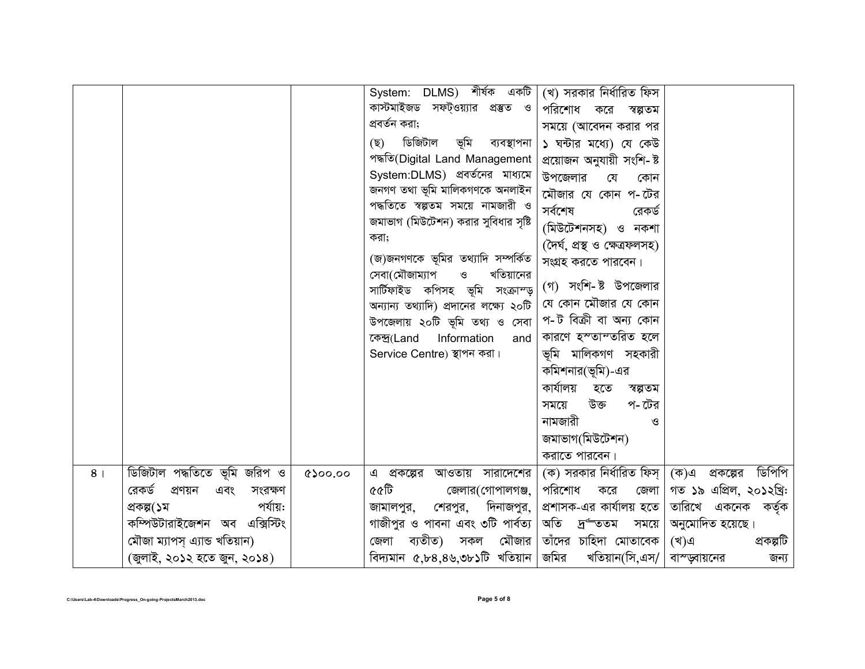|                |                                  |         | System: DLMS) শীৰ্ষক একটি                    | (খ) সরকার নির্ধারিত ফিস                           |                             |
|----------------|----------------------------------|---------|----------------------------------------------|---------------------------------------------------|-----------------------------|
|                |                                  |         | কাস্টমাইজড সফট্ওয়্যার প্রস্তুত ও            | পরিশোধ করে<br>স্বল্পতম                            |                             |
|                |                                  |         | প্রবর্তন করা;                                | সময়ে (আবেদন করার পর                              |                             |
|                |                                  |         | ডিজিটাল ভূমি ব্যবস্থাপনা<br>(ছ)              | ১ ঘন্টার মধ্যে) যে কেউ                            |                             |
|                |                                  |         | পদ্ধতি(Digital Land Management               | প্ৰয়োজন অনুযায়ী সংশি- ষ্ট                       |                             |
|                |                                  |         | System:DLMS) প্রবর্তনের মাধ্যমে              | উপজেলার<br>যে<br>কোন                              |                             |
|                |                                  |         | জনগণ তথা ভূমি মালিকগণকে অনলাইন               | মৌজার যে কোন প-টের                                |                             |
|                |                                  |         | পদ্ধতিতে স্বল্পতম সময়ে নামজারী ও            | সৰ্বশেষ<br>রেকর্ড                                 |                             |
|                |                                  |         | জমাভাগ (মিউটেশন) করার সুবিধার সৃষ্টি         | (মিউটেশনসহ) ও নকশা                                |                             |
|                |                                  |         | করা;                                         | (দৈৰ্ঘ, প্ৰস্থ ও ক্ষেত্ৰফলসহ)                     |                             |
|                |                                  |         | (জ)জনগণকে ভূমির তথ্যাদি সম্পর্কিত            | সংগ্ৰহ করতে পারবেন।                               |                             |
|                |                                  |         | খতিয়ানের<br>সেবা(মৌজাম্যাপ<br>$\mathcal{O}$ |                                                   |                             |
|                |                                  |         | সার্টিফাইড কপিসহ ভূমি সংক্রাম্ড়             | (গ) সংশি-ষ্ট উপজেলার                              |                             |
|                |                                  |         | অন্যান্য তথ্যাদি) প্রদানের লক্ষ্যে ২০টি      | যে কোন মৌজার যে কোন                               |                             |
|                |                                  |         | উপজেলায় ২০টি ভূমি তথ্য ও সেবা               | প-ট বিক্ৰী বা অন্য কোন                            |                             |
|                |                                  |         | কেন্দ্ৰ(Land<br>Information<br>and           | কারণে হস্তান্তরিত হলে                             |                             |
|                |                                  |         | Service Centre) স্থাপন করা।                  | ভূমি মালিকগণ সহকারী                               |                             |
|                |                                  |         |                                              | কমিশনার(ভূমি)-এর                                  |                             |
|                |                                  |         |                                              | কাৰ্যালয়<br>হতে<br>স্বল্পতম                      |                             |
|                |                                  |         |                                              | উক্ত<br>প- টের<br>সময়ে                           |                             |
|                |                                  |         |                                              | নামজারী<br>ও                                      |                             |
|                |                                  |         |                                              | জমাভাগ(মিউটেশন)                                   |                             |
|                |                                  |         |                                              | করাতে পারবেন।                                     |                             |
| 8 <sub>1</sub> | ডিজিটাল পদ্ধতিতে ভূমি জরিপ ও     | 6500.00 | আওতায় সারাদেশের<br>এ প্রকল্পের              | (ক) সরকার নির্ধারিত ফিস্                          | ডিপিপি<br>(ক)এ<br>প্রকল্পের |
|                | রেকর্ড<br>প্রণয়ন এবং<br>সংরক্ষণ |         | ৫৫টি<br>জেলার(গোপালগঞ্জ,                     | পরিশোধ<br>করে<br>জেলা                             | গত ১৯ এপ্রিল, ২০১২খ্রি:     |
|                | পর্যায়:<br>প্ৰকল্প(১ম           |         | শেরপুর, দিনাজপুর,<br>জামালপুর,               | প্রশাসক-এর কার্যালয় হতে                          | তারিখে একনেক কর্তৃক         |
|                | কম্পিউটারাইজেশন অব এক্সিস্টিং    |         | গাজীপুর ও পাবনা এবং ৩টি পার্বত্য             | অতি দ্র <sup>ত্র</sup> ততম সময়ে                  | অনুমোদিত হয়েছে।            |
|                | মৌজা ম্যাপস্ এ্যান্ড খতিয়ান)    |         | ব্যতীত) সকল মৌজার<br>জেলা                    | তাঁদের চাহিদা মোতাবেক                             | প্ৰকল্পটি<br>(খ)এ           |
|                | (জুলাই, ২০১২ হতে জুন, ২০১৪)      |         | বিদ্যমান $\alpha$ ,৮৪,৪৬,৩৮১টি খতিয়ান       | জমির<br>খতিয়ান $(\widehat{\text{b}}$ ,এস/ $\mid$ | বাস্ড্বায়নের<br>জন্য       |
|                |                                  |         |                                              |                                                   |                             |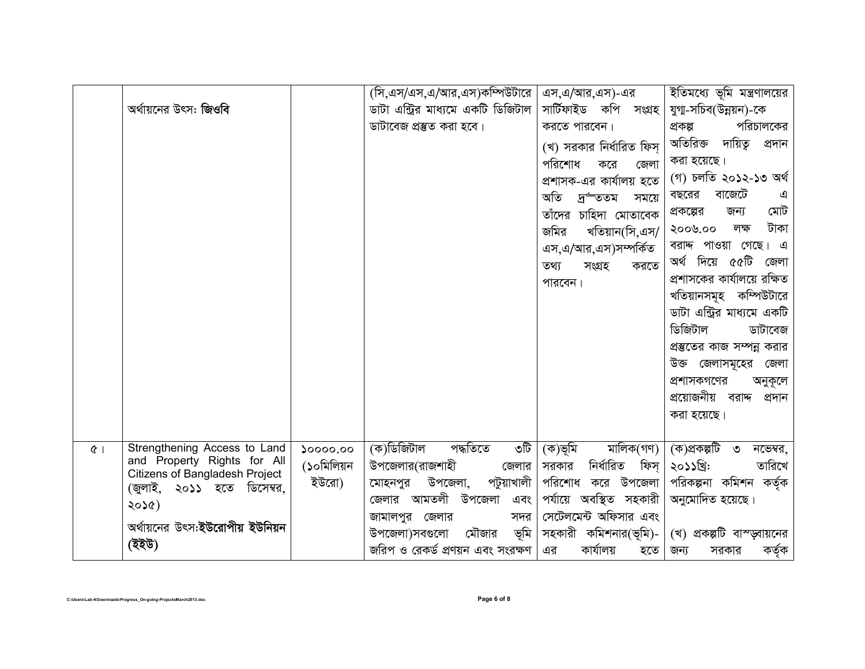|                                                              | (সি,এস/এস,এ/আর,এস)কম্পিউটারে                           | এস.এ/আর.এস)-এর             | ইতিমধ্যে ভূমি মন্ত্রণালয়ের  |
|--------------------------------------------------------------|--------------------------------------------------------|----------------------------|------------------------------|
| অর্থায়নের উৎস: জিওবি                                        | ডাটা এন্ট্রির মাধ্যমে একটি ডিজিটাল                     | সাৰ্টিফাইড কপি সংগ্ৰহ      | যুগা-সচিব(উন্নয়ন)-কে        |
|                                                              | ডাটাবেজ প্রস্তুত করা হবে।                              | করতে পারবেন।               | পরিচালকের<br>প্ৰকল্প         |
|                                                              |                                                        | (খ) সরকার নির্ধারিত ফিস্   | অতিরিক্ত দায়িত্ব<br>প্ৰদান  |
|                                                              |                                                        | পরিশোধ<br>করে<br>জেলা      | করা হয়েছে।                  |
|                                                              |                                                        | প্রশাসক-এর কার্যালয় হতে   | (গ) চলতি ২০১২-১৩ অৰ্থ        |
|                                                              |                                                        | অতি<br>দ্ৰত্তম<br>সময়ে    | বাজেটে<br>বছরের              |
|                                                              |                                                        | তাঁদের চাহিদা মোতাবেক      | মোট<br>প্রকল্পের<br>জন্য     |
|                                                              |                                                        | জমির<br>খতিয়ান(সি,এস/     | টাকা<br>২০০৬.০০<br>লক্ষ      |
|                                                              |                                                        | এস,এ/আর,এস)সম্পর্কিত       | বরাদ্দ পাওয়া গেছে। এ        |
|                                                              |                                                        | তথ্য<br>সংগ্ৰহ<br>করতে     | অর্থ দিয়ে ৫৫টি<br>জেলা      |
|                                                              |                                                        | পারবেন।                    | প্রশাসকের কার্যালয়ে রক্ষিত  |
|                                                              |                                                        |                            | খতিয়ানসমূহ কম্পিউটারে       |
|                                                              |                                                        |                            | ডাটা এন্ট্রির মাধ্যমে একটি   |
|                                                              |                                                        |                            | ডিজিটাল<br>ডাটাবেজ           |
|                                                              |                                                        |                            | প্রস্তুতের কাজ সম্পন্ন করার  |
|                                                              |                                                        |                            | উক্ত জেলাসমূহের<br>জেলা      |
|                                                              |                                                        |                            | প্রশাসকগণের<br>অনুকূলে       |
|                                                              |                                                        |                            | প্রয়োজনীয় বরাদ্দ<br>প্ৰদান |
|                                                              |                                                        |                            | করা হয়েছে।                  |
|                                                              |                                                        |                            |                              |
| Strengthening Access to Land<br>$Q$                          | (ক)ডিজিটাল<br>পদ্ধতিতে<br>৩টি<br>$\mathcal{X}$ 0000.00 | মালিক(গণ)<br>(ক)ভূমি       | (ক)প্ৰকল্পটি ৩<br>নভেম্বর,   |
| and Property Rights for All                                  | (১০মিলিয়ন<br>উপজেলার(রাজশাহী<br>জেলার                 | নিৰ্ধারিত<br>ফিস্<br>সরকার | ২০১১খ্রি:<br>তারিখে          |
| Citizens of Bangladesh Project<br>(জুলাই, ২০১১ হতে ডিসেম্বর, | ইউরো)<br>উপজেলা,<br>পটুয়াখালী<br>মোহনপুর              | পরিশোধ করে উপজেলা          | পরিকল্পনা কমিশন কর্তৃক       |
| ২০১৫)                                                        | জেলার আমতলী উপজেলা<br>এবং                              | পর্যায়ে অবস্থিত সহকারী    | অনুমোদিত হয়েছে।             |
|                                                              | জামালপুর জেলার<br>সদর                                  | সেটেলমেন্ট অফিসার এবং      |                              |
| অর্থায়নের উৎস:ইউরোপীয় ইউনিয়ন                              | ভূমি<br>উপজেলা)সবগুলো<br>মৌজার                         | সহকারী কমিশনার(ভূমি)-      | (খ) প্রকল্পটি বাস্ড্সায়নের  |
| (ইইউ)                                                        | জরিপ ও রেকর্ড প্রণয়ন এবং সংরক্ষণ                      | কাৰ্যালয়<br>এর<br>হতে     | কৰ্তৃক<br>জন্য<br>সরকার      |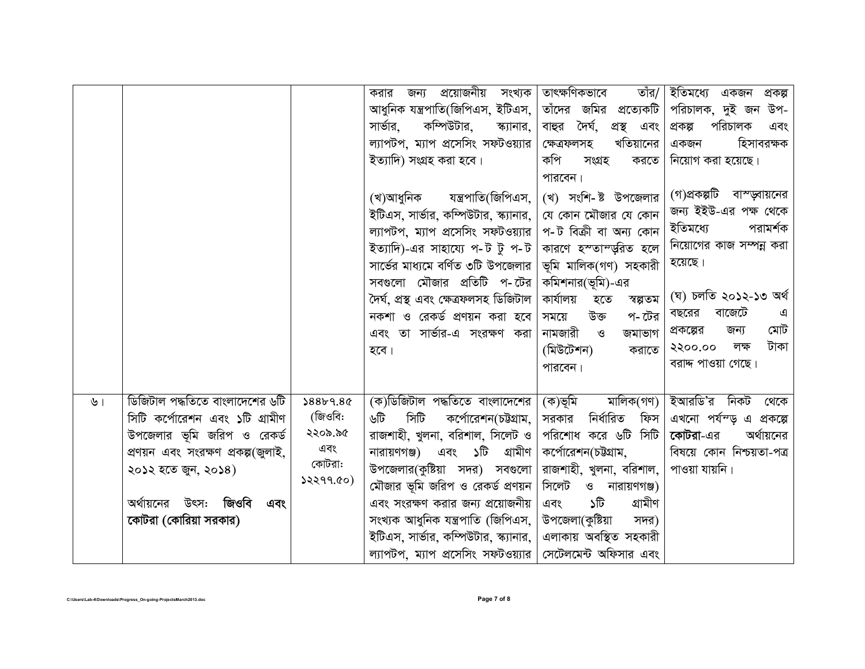|               |                                                                                                                                                                                                                              |                                                              | প্রয়োজনীয় সংখ্যক <br>করার<br>জন্য<br>আধুনিক যন্ত্রপাতি(জিপিএস, ইটিএস,  <br>সার্ভার,<br>কম্পিউটার,<br>স্ক্যানার,<br>ল্যাপটপ, ম্যাপ প্রসেসিং সফটওয়্যার<br>ইত্যাদি) সংগ্ৰহ করা হবে।<br>যন্ত্রপাতি(জিপিএস, $\, \vert \,$<br>(খ)আধুনিক<br>ইটিএস, সার্ভার, কম্পিউটার, স্ক্যানার, $\vert$<br>ল্যাপটপ, ম্যাপ প্রসেসিং সফটওয়্যার $\mid$<br>ইত্যাদি)-এর সাহায্যে প-ট টু প-ট $\mid$<br>সার্ভের মাধ্যমে বর্ণিত ৩টি উপজেলার $\parallel$<br>সবগুলো মৌজার প্রতিটি প-টের<br>দৈৰ্ঘ, প্ৰস্থ এবং ক্ষেত্ৰফলসহ ডিজিটাল<br>নকশা ও রেকর্ড প্রণয়ন করা হবে<br>এবং তা সার্ভার-এ সংরক্ষণ করা<br>হবে। | তাৎক্ষণিকভাবে<br>তাঁর/<br>তাঁদের জমির প্রত্যেকটি<br>বাহুর দৈর্ঘ,<br>প্ৰস্থ এবং<br>খতিয়ানের<br>ক্ষেত্ৰফলসহ<br>কপি<br>সংগ্ৰহ<br>করতে<br>পারবেন।<br>(খ) সংশি-ষ্ট উপজেলার<br>যে কোন মৌজার যে কোন<br>প-ট বিক্ৰী বা অন্য কোন<br>কারণে হস্তাম্ডুরিত হলে<br>ভূমি মালিক(গণ) সহকারী<br>কমিশনার(ভূমি)-এর<br>কাৰ্যালয়<br>হতে<br>স্বল্পতম<br>উক্ত<br>প- টের<br>সময়ে<br>নামজারী<br>$\mathcal{O}$<br>জমাভাগ<br>(মিউটেশন)<br>করাতে<br>পারবেন। | ইতিমধ্যে একজন<br>প্ৰকল্প<br>পরিচালক, দুই জন উপ-<br>পরিচালক<br>প্ৰকল্প<br>এবং<br>হিসাবরক্ষক<br>একজন<br>নিয়োগ করা হয়েছে।<br>(গ)প্রকল্পটি বাস্ড়্বায়নের<br>জন্য ইইউ-এর পক্ষ থেকে<br>ইতিমধ্যে<br>পরামর্শক<br>নিয়োগের কাজ সম্পন্ন করা<br>হয়েছে।<br>(ঘ) চলতি ২০১২-১৩ অৰ্থ<br>বাজেটে<br>বছরের<br>এ<br>মোট<br>প্রকল্পের<br>জন্য<br>টাকা<br>২২০০.০০<br>লক্ষ<br>বরাদ্দ পাওয়া গেছে। |
|---------------|------------------------------------------------------------------------------------------------------------------------------------------------------------------------------------------------------------------------------|--------------------------------------------------------------|--------------------------------------------------------------------------------------------------------------------------------------------------------------------------------------------------------------------------------------------------------------------------------------------------------------------------------------------------------------------------------------------------------------------------------------------------------------------------------------------------------------------------------------------------------------------------------|----------------------------------------------------------------------------------------------------------------------------------------------------------------------------------------------------------------------------------------------------------------------------------------------------------------------------------------------------------------------------------------------------------------------------------|--------------------------------------------------------------------------------------------------------------------------------------------------------------------------------------------------------------------------------------------------------------------------------------------------------------------------------------------------------------------------------|
| $\mathcal{V}$ | ডিজিটাল পদ্ধতিতে বাংলাদেশের ৬টি<br>সিটি কর্পোরেশন এবং ১টি গ্রামীণ<br>উপজেলার ভূমি জরিপ ও রেকর্ড<br>প্রণয়ন এবং সংরক্ষণ প্রকল্প(জুলাই,<br>২০১২ হতে জুন, ২০১৪)<br>অর্থায়নের উৎস: <b>জিওবি</b><br>এবং<br>কোটরা (কোরিয়া সরকার) | \$88b9.8c<br>(জিওবি:<br>২২০৯.৯৫<br>এবং<br>কোটরা:<br>32299.00 | (ক)ডিজিটাল পদ্ধতিতে বাংলাদেশের  <br>সিটি<br>কর্পোরেশন(চউগ্রাম,<br>৬টি<br>রাজশাহী, খুলনা, বরিশাল, সিলেট ও $\mid$<br>নারায়ণগঞ্জ) এবং ১টি গ্রামীণ $\vert$<br>উপজেলার(কুষ্টিয়া সদর) সবগুলো<br>মৌজার ভূমি জরিপ ও রেকর্ড প্রণয়ন  <br>এবং সংরক্ষণ করার জন্য প্রয়োজনীয়<br>সংখ্যক আধুনিক যন্ত্ৰপাতি (জিপিএস,<br>ইটিএস, সার্ভার, কম্পিউটার, স্ক্যানার, $\mid$<br>ল্যাপটপ, ম্যাপ প্রসেসিং সফটওয়্যার   সেটেলমেন্ট অফিসার এবং                                                                                                                                                         | (ক)ভূমি<br>মালিক(গণ)<br>নিৰ্ধারিত<br>ফিস<br>সরকার<br>পরিশোধ করে ৬টি সিটি<br>কর্পোরেশন(চউগ্রাম,<br>রাজশাহী, খুলনা, বরিশাল,<br>সিলেট ও নারায়ণগঞ্জ)<br>গ্ৰামীণ<br>চি<br>এবং<br>উপজেলা(কুষ্টিয়া<br>সদর)<br>এলাকায় অবস্থিত সহকারী                                                                                                                                                                                                  | ইআরডি'র নিকট<br>থেকে<br>এখনো পর্যন্ড় এ প্রকল্পে<br>কোটরা-এর<br>অর্থায়নের<br>বিষয়ে কোন নিশ্চয়তা-পত্র<br>পাওয়া যায়নি।                                                                                                                                                                                                                                                      |